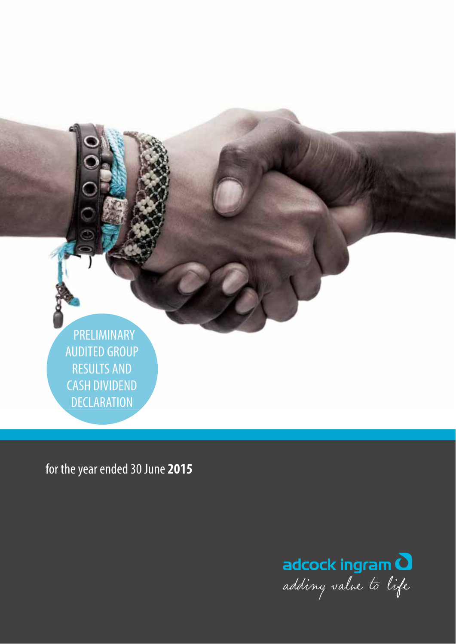PRELIMINARY AUDITED GROUP RESULTS AND CASH DIVIDEND **DECLARATION** 

for the year ended 30 June **2015**

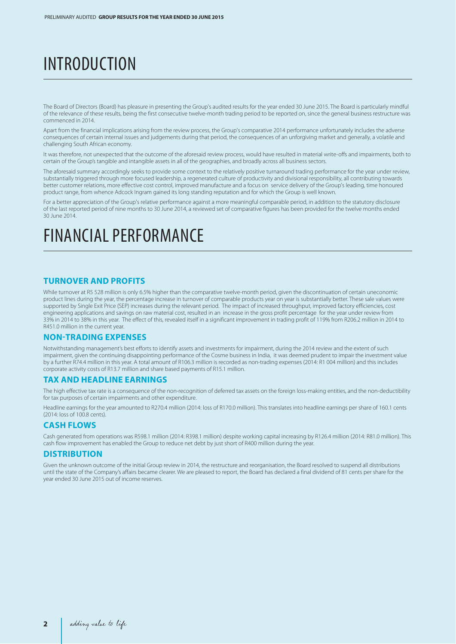# INTRODUCTION

The Board of Directors (Board) has pleasure in presenting the Group's audited results for the year ended 30 June 2015. The Board is particularly mindful of the relevance of these results, being the first consecutive twelve-month trading period to be reported on, since the general business restructure was commenced in 2014.

Apart from the financial implications arising from the review process, the Group's comparative 2014 performance unfortunately includes the adverse consequences of certain internal issues and judgements during that period, the consequences of an unforgiving market and generally, a volatile and challenging South African economy.

It was therefore, not unexpected that the outcome of the aforesaid review process, would have resulted in material write-offs and impairments, both to certain of the Group's tangible and intangible assets in all of the geographies, and broadly across all business sectors.

The aforesaid summary accordingly seeks to provide some context to the relatively positive turnaround trading performance for the year under review, substantially triggered through more focused leadership, a regenerated culture of productivity and divisional responsibility, all contributing towards better customer relations, more effective cost control, improved manufacture and a focus on service delivery of the Group's leading, time honoured product range, from whence Adcock Ingram gained its long standing reputation and for which the Group is well known.

For a better appreciation of the Group's relative performance against a more meaningful comparable period, in addition to the statutory disclosure of the last reported period of nine months to 30 June 2014, a reviewed set of comparative figures has been provided for the twelve months ended 30 June 2014.

## FINANCIAL PERFORMANCE

## **TURNOVER AND PROFITS**

While turnover at R5 528 million is only 6.5% higher than the comparative twelve-month period, given the discontinuation of certain uneconomic product lines during the year, the percentage increase in turnover of comparable products year on year is substantially better. These sale values were supported by Single Exit Price (SEP) increases during the relevant period. The impact of increased throughput, improved factory efficiencies, cost engineering applications and savings on raw material cost, resulted in an increase in the gross profit percentage for the year under review from 33% in 2014 to 38% in this year. The effect of this, revealed itself in a significant improvement in trading profit of 119% from R206.2 million in 2014 to R451.0 million in the current year.

## **NON-TRADING EXPENSES**

Notwithstanding management's best efforts to identify assets and investments for impairment, during the 2014 review and the extent of such impairment, given the continuing disappointing performance of the Cosme business in India, it was deemed prudent to impair the investment value by a further R74.4 million in this year. A total amount of R106.3 million is recorded as non-trading expenses (2014: R1 004 million) and this includes corporate activity costs of R13.7 million and share based payments of R15.1 million.

### **TAX AND HEADLINE EARNINGS**

The high effective tax rate is a consequence of the non-recognition of deferred tax assets on the foreign loss-making entities, and the non-deductibility for tax purposes of certain impairments and other expenditure.

Headline earnings for the year amounted to R270.4 million (2014: loss of R170.0 million). This translates into headline earnings per share of 160.1 cents (2014: loss of 100.8 cents).

## **CASH FLOWS**

Cash generated from operations was R598.1 million (2014: R398.1 million) despite working capital increasing by R126.4 million (2014: R81.0 million). This cash flow improvement has enabled the Group to reduce net debt by just short of R400 million during the year.

### **DISTRIBUTION**

Given the unknown outcome of the initial Group review in 2014, the restructure and reorganisation, the Board resolved to suspend all distributions until the state of the Company's affairs became clearer. We are pleased to report, the Board has declared a final dividend of 81 cents per share for the year ended 30 June 2015 out of income reserves.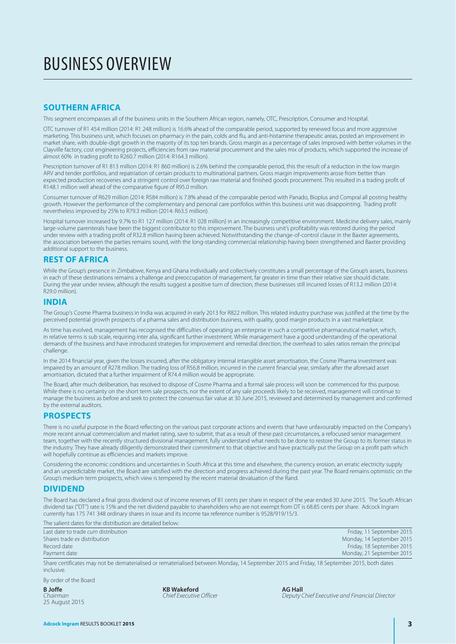# BUSINESS OVERVIEW

## **SOUTHERN AFRICA**

This segment encompasses all of the business units in the Southern African region, namely, OTC, Prescription, Consumer and Hospital.

OTC turnover of R1 454 million (2014: R1 248 million) is 16.6% ahead of the comparable period, supported by renewed focus and more aggressive marketing. This business unit, which focuses on pharmacy in the pain, colds and flu, and anti-histamine therapeutic areas, posted an improvement in market share, with double-digit growth in the majority of its top ten brands. Gross margin as a percentage of sales improved with better volumes in the Clayville factory, cost engineering projects, efficiencies from raw material procurement and the sales mix of products, which supported the increase of almost 60% in trading profit to R260.7 million (2014: R164.3 million).

Prescription turnover of R1 813 million (2014: R1 860 million) is 2.6% behind the comparable period, this the result of a reduction in the low margin ARV and tender portfolios, and repatriation of certain products to multinational partners. Gross margin improvements arose from better than expected production recoveries and a stringent control over foreign raw material and finished goods procurement. This resulted in a trading profit of R148.1 million well ahead of the comparative figure of R95.0 million.

Consumer turnover of R629 million (2014: R584 million) is 7.8% ahead of the comparable period with Panado, Bioplus and Compral all posting healthy growth. However the performance of the complementary and personal care portfolios within this business unit was disappointing. Trading profit nevertheless improved by 25% to R79.3 million (2014: R63.5 million).

Hospital turnover increased by 9.7% to R1 127 million (2014: R1 028 million) in an increasingly competitive environment. Medicine delivery sales, mainly large-volume parenterals have been the biggest contributor to this improvement. The business unit's profitability was restored during the period under review with a trading profit of R32.8 million having been achieved. Notwithstanding the change-of-control clause in the Baxter agreements, the association between the parties remains sound, with the long-standing commercial relationship having been strengthened and Baxter providing additional support to the business.

## **REST OF AFRICA**

While the Group's presence in Zimbabwe, Kenya and Ghana individually and collectively constitutes a small percentage of the Group's assets, business in each of these destinations remains a challenge and preoccupation of management, far greater in time than their relative size should dictate. During the year under review, although the results suggest a positive turn of direction, these businesses still incurred losses of R13.2 million (2014: R29.0 million).

### **INDIA**

The Group's Cosme Pharma business in India was acquired in early 2013 for R822 million. This related industry purchase was justified at the time by the perceived potential growth prospects of a pharma sales and distribution business, with quality, good margin products in a vast marketplace.

As time has evolved, management has recognised the difficulties of operating an enterprise in such a competitive pharmaceutical market, which, in relative terms is sub scale, requiring inter alia, significant further investment. While management have a good understanding of the operational demands of the business and have introduced strategies for improvement and remedial direction, the overhead to sales ratios remain the principal challenge

In the 2014 financial year, given the losses incurred, after the obligatory internal intangible asset amortisation, the Cosme Pharma investment was impaired by an amount of R278 million. The trading loss of R56.8 million, incurred in the current financial year, similarly after the aforesaid asset amortisation, dictated that a further impairment of R74.4 million would be appropriate.

The Board, after much deliberation, has resolved to dispose of Cosme Pharma and a formal sale process will soon be commenced for this purpose. While there is no certainty on the short term sale prospects, nor the extent of any sale proceeds likely to be received, management will continue to manage the business as before and seek to protect the consensus fair value at 30 June 2015, reviewed and determined by management and confirmed by the external auditors.

## **PROSPECTS**

There is no useful purpose in the Board reflecting on the various past corporate actions and events that have unfavourably impacted on the Company's more recent annual commercialism and market rating, save to submit, that as a result of these past circumstances, a refocused senior management team, together with the recently structured divisional management, fully understand what needs to be done to restore the Group to its former status in the industry. They have already diligently demonstrated their commitment to that objective and have practically put the Group on a profit path which will hopefully continue as efficiencies and markets improve.

Considering the economic conditions and uncertainties in South Africa at this time and elsewhere, the currency erosion, an erratic electricity supply and an unpredictable market, the Board are satisfied with the direction and progress achieved during the past year. The Board remains optimistic on the Group's medium term prospects, which view is tempered by the recent material devaluation of the Rand.

## **DIVIDEND**

The Board has declared a final gross dividend out of income reserves of 81 cents per share in respect of the year ended 30 June 2015. The South African dividend tax ("DT") rate is 15% and the net dividend payable to shareholders who are not exempt from DT is 68.85 cents per share. Adcock Ingram currently has 175 741 348 ordinary shares in issue and its income tax reference number is 9528/919/15/3.

The salient dates for the distribution are detailed below:

| Last date to trade <i>cum</i> distribution | Friday, 11 September 2015 |
|--------------------------------------------|---------------------------|
| Shares trade ex distribution               | Monday, 14 September 2015 |
| Record date                                | Friday, 18 September 2015 |
| Payment date                               | Monday, 21 September 2015 |

Share certificates may not be dematerialised or rematerialised between Monday, 14 September 2015 and Friday, 18 September 2015, both dates inclusive.

By order of the Board

25 August 2015

**B Joffe 6 2008 100 2008 100 2008 100 2008 100 2008 100 2008 100 2009 100 2009 100 2009 100 2009 100 2009 100 2009 100 2009 100 2009 100 2009 100 2009 100 2009 100 2009 100 2009 100 2009 100 2009 100 2009 100 2009 100 2009** 

**Chairman Chief Executive and Financial Director**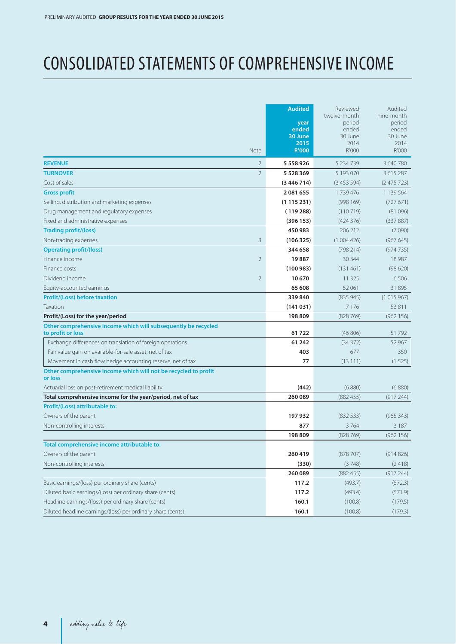# CONSOLIDATED STATEMENTS OF COMPREHENSIVE INCOME

|                                                                                     | <b>Note</b>    | <b>Audited</b><br>year<br>ended<br>30 June<br>2015<br><b>R'000</b> | Reviewed<br>twelve-month<br>period<br>ended<br>30 June<br>2014<br>R'000 | Audited<br>nine-month<br>period<br>ended<br>30 June<br>2014<br>R'000 |
|-------------------------------------------------------------------------------------|----------------|--------------------------------------------------------------------|-------------------------------------------------------------------------|----------------------------------------------------------------------|
| <b>REVENUE</b>                                                                      | $\overline{2}$ | 5 5 5 8 9 2 6                                                      | 5 2 3 4 7 3 9                                                           | 3 640 780                                                            |
| <b>TURNOVER</b>                                                                     | $\overline{2}$ | 5 5 28 3 69                                                        | 5 193 070                                                               | 3 615 287                                                            |
| Cost of sales                                                                       |                | (3446714)                                                          | (3453594)                                                               | (2475723)                                                            |
| <b>Gross profit</b>                                                                 |                | 2081655                                                            | 1739476                                                                 | 1 139 564                                                            |
| Selling, distribution and marketing expenses                                        |                | (1115231)                                                          | (998169)                                                                | (727671)                                                             |
| Drug management and regulatory expenses                                             |                | (119288)                                                           | (110719)                                                                | (81096)                                                              |
| Fixed and administrative expenses                                                   |                | (396153)                                                           | (424376)                                                                | (337887)                                                             |
| <b>Trading profit/(loss)</b>                                                        |                | 450 983                                                            | 206 212                                                                 | (7090)                                                               |
| Non-trading expenses                                                                | 3              | (106325)                                                           | (1004426)                                                               | (967645)                                                             |
| <b>Operating profit/(loss)</b>                                                      |                | 344 658                                                            | (798 214)                                                               | (974735)                                                             |
| Finance income                                                                      | $\overline{2}$ | 19887                                                              | 30 344                                                                  | 18 9 87                                                              |
| Finance costs                                                                       |                | (100983)                                                           | (131461)                                                                | (98620)                                                              |
| Dividend income                                                                     | $\overline{2}$ | 10670                                                              | 11 3 2 5                                                                | 6506                                                                 |
| Equity-accounted earnings                                                           |                | 65 608                                                             | 52 061                                                                  | 31895                                                                |
| <b>Profit/(Loss) before taxation</b>                                                |                | 339840                                                             | (835945)                                                                | (1015967)                                                            |
| Taxation                                                                            |                | (141031)                                                           | 7176                                                                    | 53 811                                                               |
| Profit/(Loss) for the year/period                                                   |                | 198 809                                                            | (828769)                                                                | (962 156)                                                            |
| Other comprehensive income which will subsequently be recycled<br>to profit or loss |                | 61722                                                              | (46806)                                                                 | 51792                                                                |
| Exchange differences on translation of foreign operations                           |                | 61 242                                                             | (34372)                                                                 | 52 967                                                               |
| Fair value gain on available-for-sale asset, net of tax                             |                | 403                                                                | 677                                                                     | 350                                                                  |
| Movement in cash flow hedge accounting reserve, net of tax                          |                | 77                                                                 | (13111)                                                                 | (1525)                                                               |
| Other comprehensive income which will not be recycled to profit<br>or loss          |                |                                                                    |                                                                         |                                                                      |
| Actuarial loss on post-retirement medical liability                                 |                | (442)                                                              | (6880)                                                                  | (6880)                                                               |
| Total comprehensive income for the year/period, net of tax                          |                | 260 089                                                            | (882455)                                                                | (917244)                                                             |
| Profit/(Loss) attributable to:                                                      |                |                                                                    |                                                                         |                                                                      |
| Owners of the parent                                                                |                | 197932                                                             | (83253)                                                                 | (965 343)                                                            |
| Non-controlling interests                                                           |                | 877                                                                | 3764                                                                    | 3 1 8 7                                                              |
|                                                                                     |                | 198 809                                                            | (828769)                                                                | (962 156)                                                            |
| Total comprehensive income attributable to:                                         |                |                                                                    |                                                                         |                                                                      |
| Owners of the parent                                                                |                | 260 419                                                            | (878707)                                                                | (914826)                                                             |
| Non-controlling interests                                                           |                | (330)                                                              | (3748)                                                                  | (2418)                                                               |
|                                                                                     |                | 260 089                                                            | (882455)                                                                | (917244)                                                             |
| Basic earnings/(loss) per ordinary share (cents)                                    |                | 117.2                                                              | (493.7)                                                                 | (572.3)                                                              |
| Diluted basic earnings/(loss) per ordinary share (cents)                            |                | 117.2                                                              | (493.4)                                                                 | (571.9)                                                              |
| Headline earnings/(loss) per ordinary share (cents)                                 |                | 160.1                                                              | (100.8)                                                                 | (179.5)                                                              |
| Diluted headline earnings/(loss) per ordinary share (cents)                         |                | 160.1                                                              | (100.8)                                                                 | (179.3)                                                              |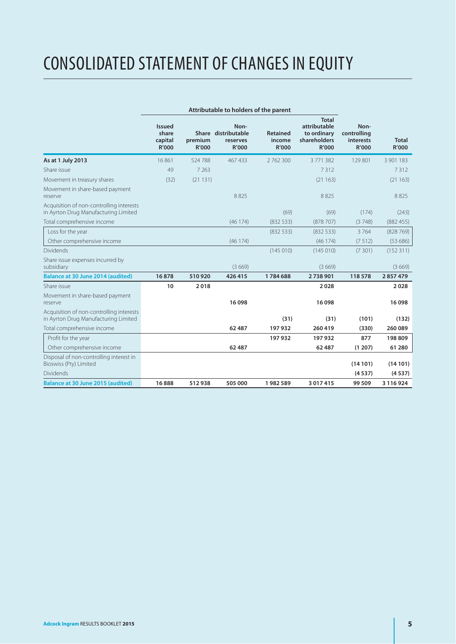# CONSOLIDATED STATEMENT OF CHANGES IN EQUITY

|                                                                                  | <b>Issued</b><br>share<br>capital<br>R'000 | premium<br>R'000 | Non-<br>Share distributable<br>reserves<br>R'000 | <b>Retained</b><br>income<br>R'000 | <b>Total</b><br>attributable<br>to ordinary<br>shareholders<br>R'000 | Non-<br>controlling<br>interests<br>R'000 | <b>Total</b><br>R'000 |
|----------------------------------------------------------------------------------|--------------------------------------------|------------------|--------------------------------------------------|------------------------------------|----------------------------------------------------------------------|-------------------------------------------|-----------------------|
| As at 1 July 2013                                                                | 16861                                      | 524 788          | 467433                                           | 2762300                            | 3771382                                                              | 129 801                                   | 3 901 183             |
| Share issue                                                                      | 49                                         | 7 2 6 3          |                                                  |                                    | 7312                                                                 |                                           | 7312                  |
| Movement in treasury shares                                                      | (32)                                       | (21131)          |                                                  |                                    | (21163)                                                              |                                           | (21163)               |
| Movement in share-based payment<br>reserve                                       |                                            |                  | 8825                                             |                                    | 8825                                                                 |                                           | 8825                  |
| Acquisition of non-controlling interests<br>in Ayrton Drug Manufacturing Limited |                                            |                  |                                                  | (69)                               | (69)                                                                 | (174)                                     | (243)                 |
| Total comprehensive income                                                       |                                            |                  | (46174)                                          | (83253)                            | (878707)                                                             | (3748)                                    | (882455)              |
| Loss for the year                                                                |                                            |                  |                                                  | (83253)                            | (83253)                                                              | 3764                                      | (828769)              |
| Other comprehensive income                                                       |                                            |                  | (46174)                                          |                                    | (46174)                                                              | (7512)                                    | (53686)               |
| <b>Dividends</b>                                                                 |                                            |                  |                                                  | (145010)                           | (145010)                                                             | (7301)                                    | (152311)              |
| Share issue expenses incurred by<br>subsidiary                                   |                                            |                  | (3669)                                           |                                    | (3669)                                                               |                                           | (3669)                |
| Balance at 30 June 2014 (audited)                                                | 16878                                      | 510920           | 426 415                                          | 1784688                            | 2738901                                                              | 118 578                                   | 2857479               |
| Share issue                                                                      | 10                                         | 2018             |                                                  |                                    | 2028                                                                 |                                           | 2028                  |
| Movement in share-based payment<br>reserve                                       |                                            |                  | 16098                                            |                                    | 16098                                                                |                                           | 16098                 |
| Acquisition of non-controlling interests<br>in Ayrton Drug Manufacturing Limited |                                            |                  |                                                  | (31)                               | (31)                                                                 | (101)                                     | (132)                 |
| Total comprehensive income                                                       |                                            |                  | 62 487                                           | 197932                             | 260 419                                                              | (330)                                     | 260 089               |
| Profit for the year                                                              |                                            |                  |                                                  | 197932                             | 197 932                                                              | 877                                       | 198 809               |
| Other comprehensive income                                                       |                                            |                  | 62 487                                           |                                    | 62 487                                                               | (1 207)                                   | 61 280                |
| Disposal of non-controlling interest in<br>Bioswiss (Pty) Limited                |                                            |                  |                                                  |                                    |                                                                      | (14101)                                   | (14101)               |
| <b>Dividends</b>                                                                 |                                            |                  |                                                  |                                    |                                                                      | (4537)                                    | (4537)                |
| <b>Balance at 30 June 2015 (audited)</b>                                         | 16888                                      | 512938           | 505 000                                          | 1982589                            | 3 0 1 7 4 1 5                                                        | 99 509                                    | 3 116 924             |

## **Attributable to holders of the parent**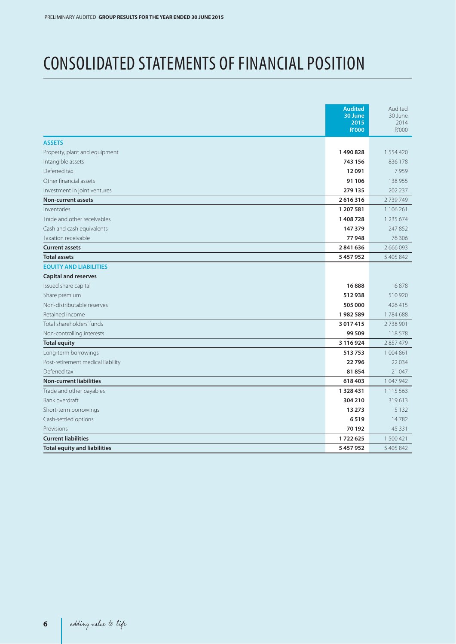## CONSOLIDATED STATEMENTS OF FINANCIAL POSITION

|                                     | <b>Audited</b><br>30 June<br>2015<br><b>R'000</b> | Audited<br>30 June<br>2014<br>R'000 |
|-------------------------------------|---------------------------------------------------|-------------------------------------|
| <b>ASSETS</b>                       |                                                   |                                     |
| Property, plant and equipment       | 1490828                                           | 1 554 420                           |
| Intangible assets                   | 743 156                                           | 836 178                             |
| Deferred tax                        | 12091                                             | 7959                                |
| Other financial assets              | 91 106                                            | 138 955                             |
| Investment in joint ventures        | 279 135                                           | 202 237                             |
| <b>Non-current assets</b>           | 2616316                                           | 2739749                             |
| Inventories                         | 1 207 581                                         | 1 106 261                           |
| Trade and other receivables         | 1408728                                           | 1 235 674                           |
| Cash and cash equivalents           | 147 379                                           | 247852                              |
| Taxation receivable                 | 77948                                             | 76 30 6                             |
| <b>Current assets</b>               | 2841636                                           | 2 666 093                           |
| <b>Total assets</b>                 | 5457952                                           | 5 405 842                           |
| <b>EOUITY AND LIABILITIES</b>       |                                                   |                                     |
| <b>Capital and reserves</b>         |                                                   |                                     |
| Issued share capital                | 16888                                             | 16878                               |
| Share premium                       | 512938                                            | 510 920                             |
| Non-distributable reserves          | 505 000                                           | 426415                              |
| Retained income                     | 1982589                                           | 1784688                             |
| Total shareholders' funds           | 3 0 1 7 4 1 5                                     | 2738901                             |
| Non-controlling interests           | 99 509                                            | 118578                              |
| <b>Total equity</b>                 | 3 1 1 6 9 2 4                                     | 2 857 479                           |
| Long-term borrowings                | 513753                                            | 1 004 861                           |
| Post-retirement medical liability   | 22796                                             | 22 0 34                             |
| Deferred tax                        | 81854                                             | 21 047                              |
| <b>Non-current liabilities</b>      | 618 403                                           | 1 047 942                           |
| Trade and other payables            | 1328431                                           | 1 1 1 5 5 6 3                       |
| Bank overdraft                      | 304 210                                           | 319613                              |
| Short-term borrowings               | 13 273                                            | 5 1 3 2                             |
| Cash-settled options                | 6519                                              | 14782                               |
| Provisions                          | 70 192                                            | 45 3 3 1                            |
| <b>Current liabilities</b>          | 1722625                                           | 1 500 421                           |
| <b>Total equity and liabilities</b> | 5457952                                           | 5 405 842                           |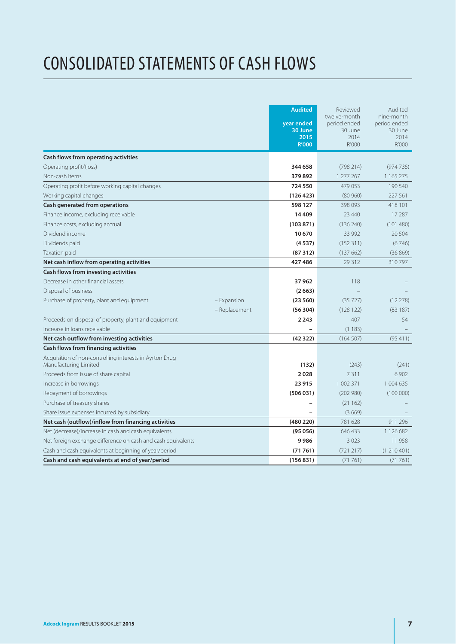# CONSOLIDATED STATEMENTS OF CASH FLOWS

|                                                                                  | <b>Audited</b><br>year ended<br>30 June<br>2015<br><b>R'000</b> | Reviewed<br>twelve-month<br>period ended<br>30 June<br>2014<br>R'000 | Audited<br>nine-month<br>period ended<br>30 June<br>2014<br>R'000 |
|----------------------------------------------------------------------------------|-----------------------------------------------------------------|----------------------------------------------------------------------|-------------------------------------------------------------------|
| Cash flows from operating activities                                             |                                                                 |                                                                      |                                                                   |
| Operating profit/(loss)                                                          | 344 658                                                         | (798 214)                                                            | (974735)                                                          |
| Non-cash items                                                                   | 379892                                                          | 1 277 267                                                            | 1 1 65 2 7 5                                                      |
| Operating profit before working capital changes                                  | 724 550                                                         | 479 053                                                              | 190 540                                                           |
| Working capital changes                                                          | (126 423)                                                       | (80960)                                                              | 227 561                                                           |
| Cash generated from operations                                                   | 598 127                                                         | 398 093                                                              | 418 101                                                           |
| Finance income, excluding receivable                                             | 14409                                                           | 23 4 40                                                              | 17 287                                                            |
| Finance costs, excluding accrual                                                 | (103871)                                                        | (136 240)                                                            | (101480)                                                          |
| Dividend income                                                                  | 10670                                                           | 33 992                                                               | 20 5 0 4                                                          |
| Dividends paid                                                                   | (4537)                                                          | (152311)                                                             | (6746)                                                            |
| Taxation paid                                                                    | (87312)                                                         | (137662)                                                             | (36869)                                                           |
| Net cash inflow from operating activities                                        | 427486                                                          | 29 3 1 2                                                             | 310797                                                            |
| Cash flows from investing activities                                             |                                                                 |                                                                      |                                                                   |
| Decrease in other financial assets                                               | 37962                                                           | 118                                                                  |                                                                   |
| Disposal of business                                                             | (2663)                                                          |                                                                      |                                                                   |
| Purchase of property, plant and equipment<br>- Expansion                         | (23560)                                                         | (35727)                                                              | (12278)                                                           |
| - Replacement                                                                    | (56304)                                                         | (128122)                                                             | (83187)                                                           |
| Proceeds on disposal of property, plant and equipment                            | 2 2 4 3                                                         | 407                                                                  | 54                                                                |
| Increase in loans receivable                                                     |                                                                 | (1183)                                                               |                                                                   |
| Net cash outflow from investing activities                                       | (42322)                                                         | (164507)                                                             | (95411)                                                           |
| Cash flows from financing activities                                             |                                                                 |                                                                      |                                                                   |
| Acquisition of non-controlling interests in Ayrton Drug<br>Manufacturing Limited | (132)                                                           | (243)                                                                | (241)                                                             |
| Proceeds from issue of share capital                                             | 2028                                                            | 7311                                                                 | 6 9 0 2                                                           |
| Increase in borrowings                                                           | 23915                                                           | 1 002 371                                                            | 1 004 635                                                         |
| Repayment of borrowings                                                          | (506031)                                                        | (202980)                                                             | (100000)                                                          |
| Purchase of treasury shares                                                      |                                                                 | (21162)                                                              |                                                                   |
| Share issue expenses incurred by subsidiary                                      |                                                                 | (3669)                                                               |                                                                   |
| Net cash (outflow)/inflow from financing activities                              | (480 220)                                                       | 781 628                                                              | 911 296                                                           |
| Net (decrease)/increase in cash and cash equivalents                             | (95056)                                                         | 646 433                                                              | 1 126 682                                                         |
| Net foreign exchange difference on cash and cash equivalents                     | 9986                                                            | 3 0 2 3                                                              | 11958                                                             |
| Cash and cash equivalents at beginning of year/period                            | (71761)                                                         | (721 217)                                                            | (1210401)                                                         |
| Cash and cash equivalents at end of year/period                                  | (156831)                                                        | (71761)                                                              | (71761)                                                           |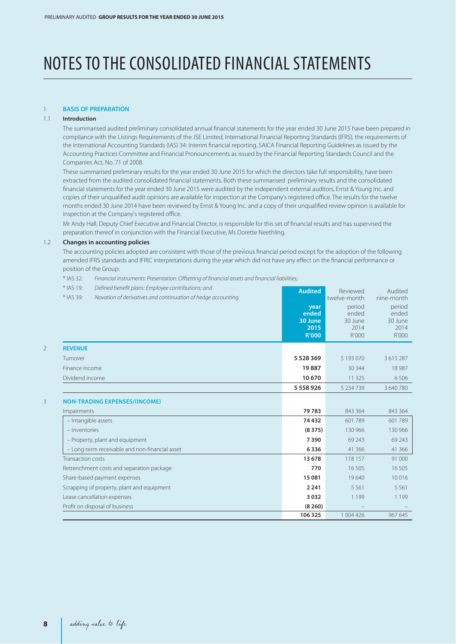# NOTES TO THE CONSOLIDATED FINANCIAL STATEMENTS

### 1 **BASIS OF PREPARATION**

### 1.1 **Introduction**

The summarised audited preliminary consolidated annual financial statements for the year ended 30 June 2015 have been prepared in compliance with the Listings Requirements of the JSE Limited, International Financial Reporting Standards (IFRS), the requirements of the International Accounting Standards (IAS) 34: Interim financial reporting, SAICA Financial Reporting Guidelines as issued by the Accounting Practices Committee and Financial Pronouncements as issued by the Financial Reporting Standards Council and the Companies Act, No. 71 of 2008.

These summarised preliminary results for the year ended 30 June 2015 for which the directors take full responsibility, have been extracted from the audited consolidated financial statements. Both these summarised preliminary results and the consolidated financial statements for the year ended 30 June 2015 were audited by the independent external auditors, Ernst & Young Inc. and copies of their unqualified audit opinions are available for inspection at the Company's registered office. The results for the twelve months ended 30 June 2014 have been reviewed by Ernst & Young Inc. and a copy of their unqualified review opinion is available for inspection at the Company's registered office.

Mr Andy Hall, Deputy Chief Executive and Financial Director, is responsible for this set of financial results and has supervised the preparation thereof in conjunction with the Financial Executive, Ms Dorette Neethling.

#### 1.2 **Changes in accounting policies**

The accounting policies adopted are consistent with those of the previous financial period except for the adoption of the following amended IFRS standards and IFRIC interpretations during the year which did not have any effect on the financial performance or position of the Group:

\* IAS 32: Financial Instruments: Presentation: Offsetting of financial assets and financial liabilities;

| * IAS 19:<br>Defined benefit plans: Employee contributions; and<br>* IAS 39:<br>Novation of derivatives and continuation of hedge accounting. | <b>Audited</b><br>year<br>ended<br>30 June<br>2015<br><b>R'000</b> | Reviewed<br>twelve-month<br>period<br>ended<br>30 June<br>2014<br>R'000 | Audited<br>nine-month<br>period<br>ended<br>30 June<br>2014<br>R'000 |
|-----------------------------------------------------------------------------------------------------------------------------------------------|--------------------------------------------------------------------|-------------------------------------------------------------------------|----------------------------------------------------------------------|
| <b>REVENUE</b>                                                                                                                                |                                                                    |                                                                         |                                                                      |
| Turnover                                                                                                                                      | 5 5 28 3 69                                                        | 5 193 070                                                               | 3 6 1 5 2 8 7                                                        |
| Finance income                                                                                                                                | 19887                                                              | 30 344                                                                  | 18 9 87                                                              |
| Dividend income                                                                                                                               | 10 670                                                             | 11 3 25                                                                 | 6506                                                                 |
|                                                                                                                                               | 5 5 5 8 9 2 6                                                      | 5 2 3 4 7 3 9                                                           | 3 640 780                                                            |
| <b>NON-TRADING EXPENSES/(INCOME)</b>                                                                                                          |                                                                    |                                                                         |                                                                      |
| Impairments                                                                                                                                   | 79783                                                              | 843 364                                                                 | 843 364                                                              |
| - Intangible assets                                                                                                                           | 74 432                                                             | 601 789                                                                 | 601789                                                               |
| - Inventories                                                                                                                                 | (8375)                                                             | 130 966                                                                 | 130 966                                                              |
| - Property, plant and equipment                                                                                                               | 7390                                                               | 69 243                                                                  | 69 243                                                               |
| - Long-term receivable and non-financial asset                                                                                                | 6336                                                               | 41 36 6                                                                 | 41 366                                                               |
| Transaction costs                                                                                                                             | 13 678                                                             | 118 157                                                                 | 91 000                                                               |
| Retrenchment costs and separation package                                                                                                     | 770                                                                | 16 50 5                                                                 | 16 505                                                               |
| Share-based payment expenses                                                                                                                  | 15 081                                                             | 19640                                                                   | 10016                                                                |
| Scrapping of property, plant and equipment                                                                                                    | 2 2 4 1                                                            | 5.561                                                                   | 5 5 6 1                                                              |
| Lease cancellation expenses                                                                                                                   | 3032                                                               | 1 1 9 9                                                                 | 1 1 9 9                                                              |
| Profit on disposal of business                                                                                                                | (8260)                                                             |                                                                         |                                                                      |
|                                                                                                                                               | 106 325                                                            | 1 004 426                                                               | 967 645                                                              |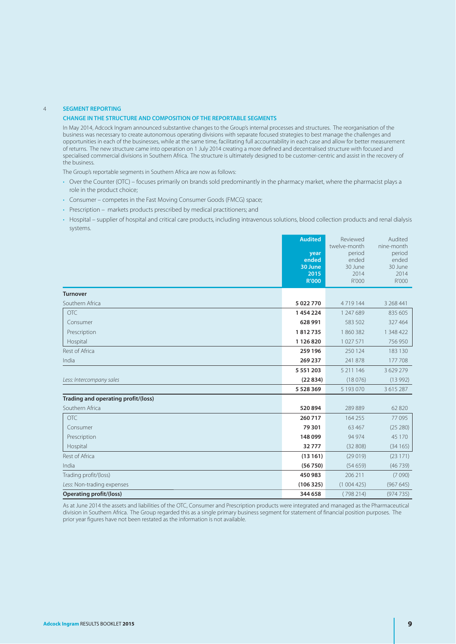### 4 **SEGMENT REPORTING**

### **CHANGE IN THE STRUCTURE AND COMPOSITION OF THE REPORTABLE SEGMENTS**

In May 2014, Adcock Ingram announced substantive changes to the Group's internal processes and structures. The reorganisation of the business was necessary to create autonomous operating divisions with separate focused strategies to best manage the challenges and opportunities in each of the businesses, while at the same time, facilitating full accountability in each case and allow for better measurement of returns. The new structure came into operation on 1 July 2014 creating a more defined and decentralised structure with focused and specialised commercial divisions in Southern Africa. The structure is ultimately designed to be customer-centric and assist in the recovery of the business.

The Group's reportable segments in Southern Africa are now as follows:

- Over the Counter (OTC) focuses primarily on brands sold predominantly in the pharmacy market, where the pharmacist plays a role in the product choice;
- Consumer competes in the Fast Moving Consumer Goods (FMCG) space:
- Prescription markets products prescribed by medical practitioners; and
- Hospital supplier of hospital and critical care products, including intravenous solutions, blood collection products and renal dialysis systems.

|                                     | <b>Audited</b><br>year<br>ended<br>30 June<br>2015<br><b>R'000</b> | Reviewed<br>twelve-month<br>period<br>ended<br>30 June<br>2014<br>R'000 | Audited<br>nine-month<br>period<br>ended<br>30 June<br>2014<br>R'000 |
|-------------------------------------|--------------------------------------------------------------------|-------------------------------------------------------------------------|----------------------------------------------------------------------|
| <b>Turnover</b>                     |                                                                    |                                                                         |                                                                      |
| Southern Africa                     | 5 022 770                                                          | 4719144                                                                 | 3 268 441                                                            |
| <b>OTC</b>                          | 1454224                                                            | 1 247 689                                                               | 835 605                                                              |
| Consumer                            | 628 991                                                            | 583 502                                                                 | 327 464                                                              |
| Prescription                        | 1812735                                                            | 1860382                                                                 | 1 348 422                                                            |
| Hospital                            | 1 126 820                                                          | 1027571                                                                 | 756 950                                                              |
| Rest of Africa                      | 259 196                                                            | 250 124                                                                 | 183 130                                                              |
| India                               | 269 237                                                            | 241 878                                                                 | 177 708                                                              |
|                                     | 5 5 5 1 2 0 3                                                      | 5 211 146                                                               | 3 629 279                                                            |
| Less: Intercompany sales            | (22834)                                                            | (18076)                                                                 | (13992)                                                              |
|                                     | 5 5 28 3 69                                                        | 5 193 070                                                               | 3 6 1 5 2 8 7                                                        |
| Trading and operating profit/(loss) |                                                                    |                                                                         |                                                                      |
| Southern Africa                     | 520894                                                             | 289889                                                                  | 62 8 20                                                              |
| <b>OTC</b>                          | 260 717                                                            | 164 255                                                                 | 77095                                                                |
| Consumer                            | 79 301                                                             | 63 467                                                                  | (25 280)                                                             |
| Prescription                        | 148 099                                                            | 94 974                                                                  | 45 170                                                               |
| Hospital                            | 32777                                                              | (32808)                                                                 | (34165)                                                              |
| Rest of Africa                      | (13161)                                                            | (29019)                                                                 | (23 171)                                                             |
| India                               | (56750)                                                            | (54659)                                                                 | (46739)                                                              |
| Trading profit/(loss)               | 450 983                                                            | 206 211                                                                 | (7090)                                                               |
| Less: Non-trading expenses          | (106325)                                                           | (1004425)                                                               | (967645)                                                             |
| <b>Operating profit/(loss)</b>      | 344 658                                                            | (798214)                                                                | (974735)                                                             |

 As at June 2014 the assets and liabilities of the OTC, Consumer and Prescription products were integrated and managed as the Pharmaceutical division in Southern Africa. The Group regarded this as a single primary business segment for statement of financial position purposes. The prior year figures have not been restated as the information is not available.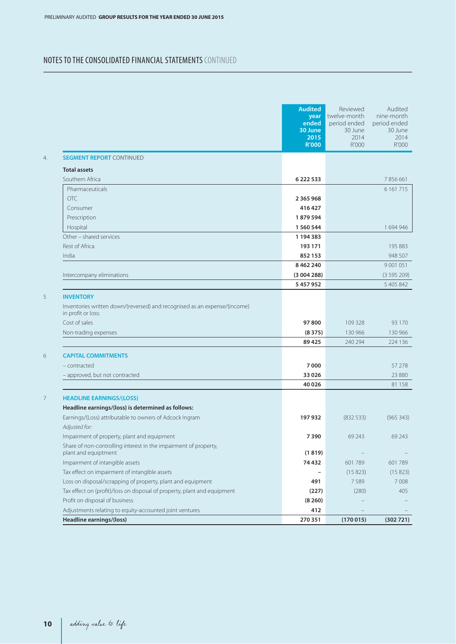## NOTES TO THE CONSOLIDATED FINANCIAL STATEMENTS CONTINUED

|                                                                                                                                          | <b>Audited</b><br>year<br>ended<br>30 June<br>2015<br><b>R'000</b> | Reviewed<br>twelve-month<br>period ended<br>30 June<br>2014<br>R'000 | Audited<br>nine-month<br>period ended<br>30 June<br>2014<br>R'000 |
|------------------------------------------------------------------------------------------------------------------------------------------|--------------------------------------------------------------------|----------------------------------------------------------------------|-------------------------------------------------------------------|
| <b>SEGMENT REPORT CONTINUED</b>                                                                                                          |                                                                    |                                                                      |                                                                   |
| <b>Total assets</b>                                                                                                                      |                                                                    |                                                                      |                                                                   |
| Southern Africa                                                                                                                          | 6 2 2 2 5 3 3                                                      |                                                                      | 7856661                                                           |
| Pharmaceuticals                                                                                                                          |                                                                    |                                                                      | 6 1 61 7 15                                                       |
| OTC                                                                                                                                      | 2 3 6 5 9 6 8                                                      |                                                                      |                                                                   |
| Consumer                                                                                                                                 | 416 427                                                            |                                                                      |                                                                   |
| Prescription                                                                                                                             | 1879594                                                            |                                                                      |                                                                   |
| Hospital                                                                                                                                 | 1 560 544                                                          |                                                                      | 1 694 946                                                         |
| Other - shared services                                                                                                                  | 1 194 383                                                          |                                                                      |                                                                   |
| Rest of Africa                                                                                                                           | 193 171                                                            |                                                                      | 195 883                                                           |
| India                                                                                                                                    | 852 153                                                            |                                                                      | 948 507                                                           |
|                                                                                                                                          | 8 4 6 2 2 4 0                                                      |                                                                      | 9 0 0 1 0 5 1                                                     |
| Intercompany eliminations                                                                                                                | (3004288)                                                          |                                                                      | (3595209)                                                         |
|                                                                                                                                          | 5 457 952                                                          |                                                                      | 5 405 842                                                         |
| Inventories written down/(reversed) and recognised as an expense/(income)<br>in profit or loss:<br>Cost of sales<br>Non-trading expenses | 97 800<br>(8375)<br>89 4 25                                        | 109 328<br>130 966<br>240 294                                        | 93 1 70<br>130 966<br>224 136                                     |
| <b>CAPITAL COMMITMENTS</b>                                                                                                               |                                                                    |                                                                      |                                                                   |
| - contracted                                                                                                                             | 7000                                                               |                                                                      | 57 278                                                            |
| - approved, but not contracted                                                                                                           | 33 0 26                                                            |                                                                      | 23 880                                                            |
|                                                                                                                                          | 40 0 26                                                            |                                                                      | 81 158                                                            |
| <b>HEADLINE EARNINGS/(LOSS)</b>                                                                                                          |                                                                    |                                                                      |                                                                   |
| Headline earnings/(loss) is determined as follows:                                                                                       |                                                                    |                                                                      |                                                                   |
| Earnings/(Loss) attributable to owners of Adcock Ingram<br>Adjusted for:                                                                 | 197 932                                                            | (83253)                                                              | (965 343)                                                         |
| Impairment of property, plant and equipment                                                                                              | 7390                                                               | 69 243                                                               | 69 243                                                            |
| Share of non-controlling interest in the impairment of property,<br>plant and equiptment                                                 | (1819)                                                             |                                                                      |                                                                   |
| Impairment of intangible assets                                                                                                          | 74 432                                                             | 601789                                                               | 601789                                                            |
| Tax effect on impairment of intangible assets                                                                                            |                                                                    | (15823)                                                              | (15823)                                                           |
| Loss on disposal/scrapping of property, plant and equipment                                                                              | 491                                                                | 7589                                                                 | 7008                                                              |
| Tax effect on (profit)/loss on disposal of property, plant and equipment                                                                 | (227)                                                              | (280)                                                                | 405                                                               |
| Profit on disposal of business                                                                                                           | (8260)                                                             |                                                                      |                                                                   |
| Adjustments relating to equity-accounted joint ventures                                                                                  | 412                                                                |                                                                      |                                                                   |
| Headline earnings/(loss)                                                                                                                 | 270 351                                                            | (170015)                                                             | (302721)                                                          |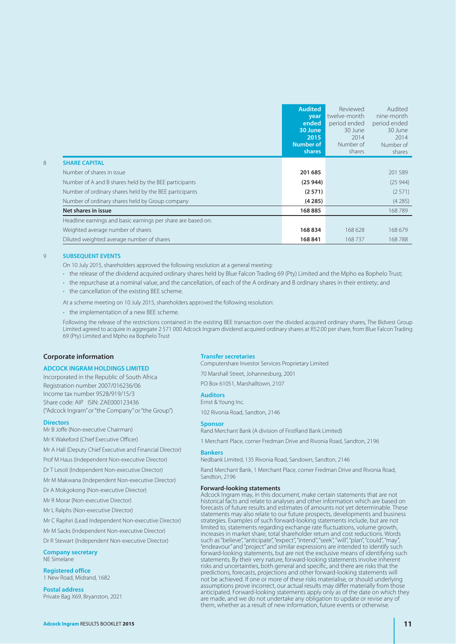|                                                              | <b>Audited</b>   | Reviewed     | Audited      |
|--------------------------------------------------------------|------------------|--------------|--------------|
|                                                              | year             | twelve-month | nine-month   |
|                                                              | ended            | period ended | period ended |
|                                                              | 30 June          | 30 June      | 30 June      |
|                                                              | 2015             | 2014         | 2014         |
|                                                              | <b>Number of</b> | Number of    | Number of    |
|                                                              | shares           | shares       | shares       |
| <b>SHARE CAPITAL</b>                                         |                  |              |              |
| Number of shares in issue                                    | 201 685          |              | 201589       |
| Number of A and B shares held by the BEE participants        | (25944)          |              | (25944)      |
| Number of ordinary shares held by the BEE participants       | (2571)           |              | (2571)       |
| Number of ordinary shares held by Group company              | (4285)           |              | (4285)       |
| Net shares in issue                                          | 168885           |              | 168789       |
| Headline earnings and basic earnings per share are based on: |                  |              |              |
| Weighted average number of shares                            | 168834           | 168 628      | 168 679      |
| Diluted weighted average number of shares                    | 168841           | 168737       | 168788       |

### 9 **SUBSEQUENT EVENTS**

- On 10 July 2015, shareholders approved the following resolution at a general meeting:
- . the release of the dividend acquired ordinary shares held by Blue Falcon Trading 69 (Pty) Limited and the Mpho ea Bophelo Trust;
- the repurchase at a nominal value, and the cancellation, of each of the A ordinary and B ordinary shares in their entirety; and
- the cancellation of the existing BEE scheme.

At a scheme meeting on 10 July 2015, shareholders approved the following resolution:

• the implementation of a new BEE scheme.

 Following the release of the restrictions contained in the existing BEE transaction over the divided acquired ordinary shares, The Bidvest Group Limited agreed to acquire in aggregate 2 571 000 Adcock Ingram dividend acquired ordinary shares at R52.00 per share, from Blue Falcon Trading 69 (Pty) Limited and Mpho ea Bophelo Trust

#### **Corporate information**

#### **ADCOCK INGRAM HOLDINGS LIMITED**

Incorporated in the Republic of South Africa Registration number 2007/016236/06 Income tax number 9528/919/15/3 Share code: AIP ISIN: ZAE000123436 ("Adcock Ingram" or "the Company" or "the Group")

#### **Directors**

Mr B Joffe (Non-executive Chairman)

Mr K Wakeford (Chief Executive Officer)

Mr A Hall (Deputy Chief Executive and Financial Director)

Prof M Haus (Independent Non-executive Director)

Dr T Lesoli (Independent Non-executive Director)

Mr M Makwana (Independent Non-executive Director)

Dr A Mokgokong (Non-executive Director)

Mr R Morar (Non-executive Director)

Mr L Ralphs (Non-executive Director)

Mr C Raphiri (Lead Independent Non-executive Director)

Mr M Sacks (Independent Non-executive Director)

Dr R Stewart (Independent Non-executive Director)

**Company secretary** NE Simelane

**Registered office**

1 New Road, Midrand, 1682

**Postal address** Private Bag X69, Bryanston, 2021

#### **Transfer secretaries**

Computershare Investor Services Proprietary Limited

70 Marshall Street, Johannesburg, 2001 PO Box 61051, Marshalltown, 2107

#### **Auditors**

Ernst & Young Inc.

102 Rivonia Road, Sandton, 2146

#### **Sponsor**

Rand Merchant Bank (A division of FirstRand Bank Limited)

1 Merchant Place, corner Fredman Drive and Rivonia Road, Sandton, 2196

### **Bankers**

Nedbank Limited, 135 Rivonia Road, Sandown, Sandton, 2146

Rand Merchant Bank, 1 Merchant Place, corner Fredman Drive and Rivonia Road, Sandton, 2196

#### **Forward-looking statements**

Adcock Ingram may, in this document, make certain statements that are not historical facts and relate to analyses and other information which are based on forecasts of future results and estimates of amounts not yet determinable. These statements may also relate to our future prospects, developments and business strategies. Examples of such forward-looking statements include, but are not limited to, statements regarding exchange rate fluctuations, volume growth, increases in market share, total shareholder return and cost reductions. Words such as "believe", "anticipate", "expect", "intend", "seek", "will", "plan", "could", "may "endeavour" and "project" and similar expressions are intended to identify such forward-looking statements, but are not the exclusive means of identifying such statements. By their very nature, forward-looking statements involve inherent risks and uncertainties, both general and specific, and there are risks that the predictions, forecasts, projections and other forward-looking statements will not be achieved. If one or more of these risks materialise, or should underlying assumptions prove incorrect, our actual results may differ materially from those anticipated. Forward-looking statements apply only as of the date on which they are made, and we do not undertake any obligation to update or revise any of them, whether as a result of new information, future events or otherwise.